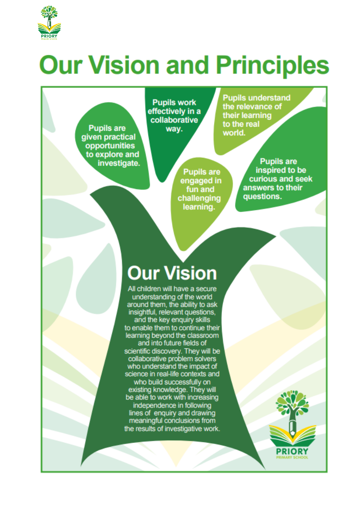

## **Our Vision and Principles**

**Pupils are** given practical opportunities to explore and investigate.

**Pupils work** effectively in a collaborative way.

> **Pupils are** engaged in fun and challenging learning.

**Pupils understand** the relevance of their learning to the real world.

> **Pupils are** inspired to be curious and seek answers to their questions.

## **Our Vision**

All children will have a secure understanding of the world around them, the ability to ask insightful, relevant questions, and the key enquiry skills to enable them to continue their learning beyond the classroom and into future fields of scientific discovery. They will be<br>collaborative problem solvers who understand the impact of science in real-life contexts and who build successfully on existing knowledge. They will be able to work with increasing independence in following lines of enquiry and drawing meaningful conclusions from the results of investigative work.

**PRIORY**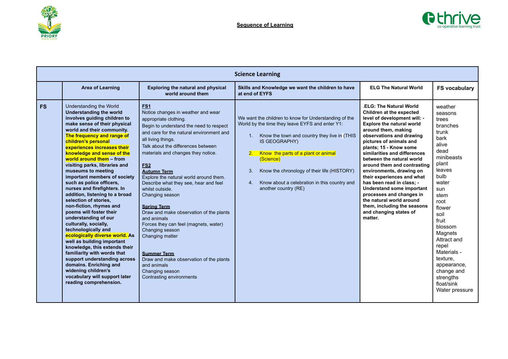



|           |                                                                                                                                                                                                                                                                                                                                                                                                                                                                                                                                                                                                                                                                                                                                                                                                                                                                                                                              |                                                                                                                                                                                                                                                                                                                                                                                                                                                                                                                                                                                                                                                                                                                                    | <b>Science Learning</b>                                                                                                                                                                                                                                                                                                                                                      |                                                                                                                                                                                                                                                                                                                                                                                                                                                                                                                                                                                    |                                                                                                                                                                                                                                                                                                                                  |
|-----------|------------------------------------------------------------------------------------------------------------------------------------------------------------------------------------------------------------------------------------------------------------------------------------------------------------------------------------------------------------------------------------------------------------------------------------------------------------------------------------------------------------------------------------------------------------------------------------------------------------------------------------------------------------------------------------------------------------------------------------------------------------------------------------------------------------------------------------------------------------------------------------------------------------------------------|------------------------------------------------------------------------------------------------------------------------------------------------------------------------------------------------------------------------------------------------------------------------------------------------------------------------------------------------------------------------------------------------------------------------------------------------------------------------------------------------------------------------------------------------------------------------------------------------------------------------------------------------------------------------------------------------------------------------------------|------------------------------------------------------------------------------------------------------------------------------------------------------------------------------------------------------------------------------------------------------------------------------------------------------------------------------------------------------------------------------|------------------------------------------------------------------------------------------------------------------------------------------------------------------------------------------------------------------------------------------------------------------------------------------------------------------------------------------------------------------------------------------------------------------------------------------------------------------------------------------------------------------------------------------------------------------------------------|----------------------------------------------------------------------------------------------------------------------------------------------------------------------------------------------------------------------------------------------------------------------------------------------------------------------------------|
|           | Area of Learning                                                                                                                                                                                                                                                                                                                                                                                                                                                                                                                                                                                                                                                                                                                                                                                                                                                                                                             | <b>Exploring the natural and physical</b><br>world around them                                                                                                                                                                                                                                                                                                                                                                                                                                                                                                                                                                                                                                                                     | Skills and Knowledge we want the children to have<br>at end of EYFS                                                                                                                                                                                                                                                                                                          | <b>ELG The Natural World</b>                                                                                                                                                                                                                                                                                                                                                                                                                                                                                                                                                       | <b>FS vocabulary</b>                                                                                                                                                                                                                                                                                                             |
| <b>FS</b> | Understanding the World<br><b>Understanding the world</b><br>involves guiding children to<br>make sense of their physical<br>world and their community.<br>The frequency and range of<br>children's personal<br>experiences increases their<br>knowledge and sense of the<br>world around them – from<br>visiting parks, libraries and<br>museums to meeting<br>important members of society<br>such as police officers,<br>nurses and firefighters. In<br>addition, listening to a broad<br>selection of stories,<br>non-fiction, rhymes and<br>poems will foster their<br>understanding of our<br>culturally, socially,<br>technologically and<br>ecologically diverse world. As<br>well as building important<br>knowledge, this extends their<br>familiarity with words that<br>support understanding across<br>domains. Enriching and<br>widening children's<br>vocabulary will support later<br>reading comprehension. | FS <sub>1</sub><br>Notice changes in weather and wear<br>appropriate clothing.<br>Begin to understand the need to respect<br>and care for the natural environment and<br>all living things.<br>Talk about the differences between<br>materials and changes they notice.<br><b>FS2</b><br><b>Autumn Term</b><br>Explore the natural world around them.<br>Describe what they see, hear and feel<br>whilst outside.<br>Changing season<br><b>Spring Term</b><br>Draw and make observation of the plants<br>and animals<br>Forces they can feel (magnets, water)<br>Changing season<br>Changing matter<br><b>Summer Term</b><br>Draw and make observation of the plants<br>and animals<br>Changing season<br>Contrasting environments | We want the children to know for Understanding of the<br>World by the time they leave EYFS and enter Y1:<br>Know the town and country they live in (THIS<br>1.<br>IS GEOGRAPHY)<br>Know the parts of a plant or animal<br>2.<br>(Science)<br>Know the chronology of their life (HISTORY)<br>3.<br>Know about a celebration in this country and<br>4.<br>another country (RE) | <b>.ELG: The Natural World</b><br>Children at the expected<br>level of development will: -<br><b>Explore the natural world</b><br>around them, making<br>observations and drawing<br>pictures of animals and<br>plants; 15 - Know some<br>similarities and differences<br>between the natural world<br>around them and contrasting<br>environments, drawing on<br>their experiences and what<br>has been read in class: -<br>Understand some important<br>processes and changes in<br>the natural world around<br>them, including the seasons<br>and changing states of<br>matter. | weather<br>seasons<br>trees<br>branches<br>trunk<br>bark<br>alive<br>dead<br>minibeasts<br>plant<br>leaves<br>bulb<br>water<br>sun<br>stem<br>root<br>flower<br>soil<br>fruit<br>blossom<br>Magnets<br>Attract and<br>repel<br>Materials -<br>texture.<br>appearance,<br>change and<br>strengths<br>float/sink<br>Water pressure |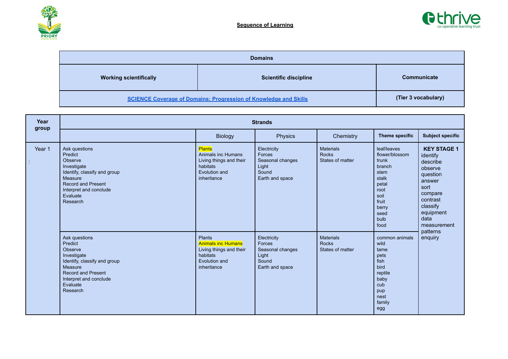



|                               | <b>Domains</b>                                                          |                     |
|-------------------------------|-------------------------------------------------------------------------|---------------------|
| <b>Working scientifically</b> | <b>Scientific discipline</b>                                            | <b>Communicate</b>  |
|                               | <b>SCIENCE Coverage of Domains: Progression of Knowledge and Skills</b> | (Tier 3 vocabulary) |

| Year<br>group |                                                                                                                                                                              |                                                                                                                   | <b>Strands</b>                                                                 |                                                      |                                                                                                                                      |                                                                                                                                                            |
|---------------|------------------------------------------------------------------------------------------------------------------------------------------------------------------------------|-------------------------------------------------------------------------------------------------------------------|--------------------------------------------------------------------------------|------------------------------------------------------|--------------------------------------------------------------------------------------------------------------------------------------|------------------------------------------------------------------------------------------------------------------------------------------------------------|
|               |                                                                                                                                                                              | <b>Biology</b>                                                                                                    | Physics                                                                        | Chemistry                                            | <b>Theme specific</b>                                                                                                                | <b>Subject specific</b>                                                                                                                                    |
| Year 1        | Ask questions<br>Predict<br>Observe<br>Investigate<br>Identify, classify and group<br>Measure<br>Record and Present<br>Interpret and conclude<br>Evaluate<br>Research        | <b>Plants</b><br>Animals inc Humans<br>Living things and their<br>habitats<br>Evolution and<br>inheritance        | Electricity<br>Forces<br>Seasonal changes<br>Light<br>Sound<br>Earth and space | <b>Materials</b><br><b>Rocks</b><br>States of matter | leaf/leaves<br>flower/blossom<br>trunk<br>branch<br>stem<br>stalk<br>petal<br>root<br>soil<br>fruit<br>berry<br>seed<br>bulb<br>food | <b>KEY STAGE 1</b><br>identify<br>describe<br>observe<br>question<br>answer<br>sort<br>compare<br>contrast<br>classify<br>equipment<br>data<br>measurement |
|               | Ask questions<br>Predict<br>Observe<br>Investigate<br>Identify, classify and group<br>Measure<br><b>Record and Present</b><br>Interpret and conclude<br>Evaluate<br>Research | <b>Plants</b><br><b>Animals inc Humans</b><br>Living things and their<br>habitats<br>Evolution and<br>inheritance | Electricity<br>Forces<br>Seasonal changes<br>Light<br>Sound<br>Earth and space | <b>Materials</b><br><b>Rocks</b><br>States of matter | common animals<br>wild<br>tame<br>pets<br>fish<br>bird<br>reptile<br>baby<br>cub<br>pup<br>nest<br>family<br>egg                     | patterns<br>enquiry                                                                                                                                        |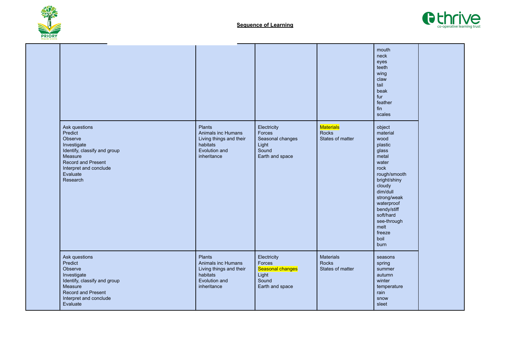



|                                                                                                                                                                              |                                                                                                            |                                                                                |                                               | mouth<br>neck<br>eyes<br>teeth<br>wing<br>claw<br>tail<br>beak<br>fur<br>feather<br>fin<br>scales                                                                                                                                        |  |
|------------------------------------------------------------------------------------------------------------------------------------------------------------------------------|------------------------------------------------------------------------------------------------------------|--------------------------------------------------------------------------------|-----------------------------------------------|------------------------------------------------------------------------------------------------------------------------------------------------------------------------------------------------------------------------------------------|--|
| Ask questions<br>Predict<br>Observe<br>Investigate<br>Identify, classify and group<br>Measure<br><b>Record and Present</b><br>Interpret and conclude<br>Evaluate<br>Research | <b>Plants</b><br>Animals inc Humans<br>Living things and their<br>habitats<br>Evolution and<br>inheritance | Electricity<br>Forces<br>Seasonal changes<br>Light<br>Sound<br>Earth and space | <b>Materials</b><br>Rocks<br>States of matter | object<br>material<br>wood<br>plastic<br>glass<br>metal<br>water<br>rock<br>rough/smooth<br>bright/shiny<br>cloudy<br>dim/dull<br>strong/weak<br>waterproof<br>bendy/stiff<br>soft/hard<br>see-through<br>melt<br>freeze<br>boil<br>burn |  |
| Ask questions<br>Predict<br>Observe<br>Investigate<br>Identify, classify and group<br>Measure<br>Record and Present<br>Interpret and conclude<br>Evaluate                    | <b>Plants</b><br>Animals inc Humans<br>Living things and their<br>habitats<br>Evolution and<br>inheritance | Electricity<br>Forces<br>Seasonal changes<br>Light<br>Sound<br>Earth and space | <b>Materials</b><br>Rocks<br>States of matter | seasons<br>spring<br>summer<br>autumn<br>winter<br>temperature<br>rain<br>snow<br>sleet                                                                                                                                                  |  |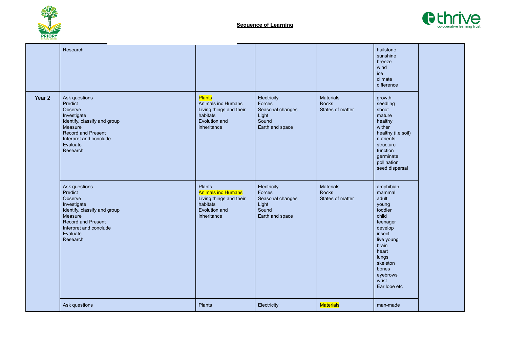



|        | Research                                                                                                                                                                     |                                                                                                            |                                                                                |                                                      | hailstone<br>sunshine<br>breeze<br>wind<br>ice<br>climate<br>difference                                                                                                                       |  |
|--------|------------------------------------------------------------------------------------------------------------------------------------------------------------------------------|------------------------------------------------------------------------------------------------------------|--------------------------------------------------------------------------------|------------------------------------------------------|-----------------------------------------------------------------------------------------------------------------------------------------------------------------------------------------------|--|
| Year 2 | Ask questions<br>Predict<br>Observe<br>Investigate<br>Identify, classify and group<br>Measure<br><b>Record and Present</b><br>Interpret and conclude<br>Evaluate<br>Research | <b>Plants</b><br>Animals inc Humans<br>Living things and their<br>habitats<br>Evolution and<br>inheritance | Electricity<br>Forces<br>Seasonal changes<br>Light<br>Sound<br>Earth and space | <b>Materials</b><br><b>Rocks</b><br>States of matter | growth<br>seedling<br>shoot<br>mature<br>healthy<br>wither<br>healthy (i.e soil)<br>nutrients<br>structure<br>function<br>germinate<br>pollination<br>seed dispersal                          |  |
|        | Ask questions<br>Predict<br>Observe<br>Investigate<br>Identify, classify and group<br>Measure<br><b>Record and Present</b><br>Interpret and conclude<br>Evaluate<br>Research | Plants<br><b>Animals inc Humans</b><br>Living things and their<br>habitats<br>Evolution and<br>inheritance | Electricity<br>Forces<br>Seasonal changes<br>Light<br>Sound<br>Earth and space | Materials<br><b>Rocks</b><br>States of matter        | amphibian<br>mammal<br>adult<br>young<br>toddler<br>child<br>teenager<br>develop<br>insect<br>live young<br>brain<br>heart<br>lungs<br>skeleton<br>bones<br>eyebrows<br>wrist<br>Ear lobe etc |  |
|        | Ask questions                                                                                                                                                                | Plants                                                                                                     | Electricity                                                                    | <b>Materials</b>                                     | man-made                                                                                                                                                                                      |  |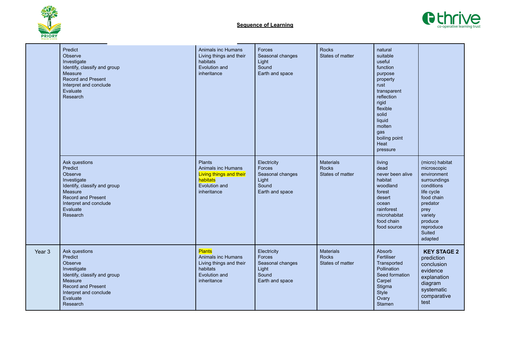



|        | Predict<br>Observe<br>Investigate<br>Identify, classify and group<br>Measure<br><b>Record and Present</b><br>Interpret and conclude<br>Evaluate<br>Research                  | Animals inc Humans<br>Living things and their<br>habitats<br>Evolution and<br>inheritance                         | Forces<br>Seasonal changes<br>Light<br>Sound<br>Earth and space                | <b>Rocks</b><br>States of matter                     | natural<br>suitable<br>useful<br>function<br>purpose<br>property<br>rust<br>transparent<br>reflection<br>rigid<br>flexible<br>solid<br>liquid<br>molten<br>gas<br>boiling point<br>Heat<br>pressure |                                                                                                                                                                                     |
|--------|------------------------------------------------------------------------------------------------------------------------------------------------------------------------------|-------------------------------------------------------------------------------------------------------------------|--------------------------------------------------------------------------------|------------------------------------------------------|-----------------------------------------------------------------------------------------------------------------------------------------------------------------------------------------------------|-------------------------------------------------------------------------------------------------------------------------------------------------------------------------------------|
|        | Ask questions<br>Predict<br>Observe<br>Investigate<br>Identify, classify and group<br>Measure<br><b>Record and Present</b><br>Interpret and conclude<br>Evaluate<br>Research | <b>Plants</b><br>Animals inc Humans<br>Living things and their<br>habitats<br>Evolution and<br>inheritance        | Electricity<br>Forces<br>Seasonal changes<br>Light<br>Sound<br>Earth and space | <b>Materials</b><br>Rocks<br>States of matter        | living<br>dead<br>never been alive<br>habitat<br>woodland<br>forest<br>desert<br>ocean<br>rainforest<br>microhabitat<br>food chain<br>food source                                                   | (micro) habitat<br>microscopic<br>environment<br>surroundings<br>conditions<br>life cycle<br>food chain<br>predator<br>prey<br>variety<br>produce<br>reproduce<br>Suited<br>adapted |
| Year 3 | Ask questions<br>Predict<br>Observe<br>Investigate<br>Identify, classify and group<br>Measure<br><b>Record and Present</b><br>Interpret and conclude<br>Evaluate<br>Research | <b>Plants</b><br><b>Animals inc Humans</b><br>Living things and their<br>habitats<br>Evolution and<br>inheritance | Electricity<br>Forces<br>Seasonal changes<br>Light<br>Sound<br>Earth and space | <b>Materials</b><br><b>Rocks</b><br>States of matter | Absorb<br>Fertiliser<br>Transported<br>Pollination<br>Seed formation<br>Carpel<br>Stigma<br>Style<br>Ovary<br>Stamen                                                                                | <b>KEY STAGE 2</b><br>prediction<br>conclusion<br>evidence<br>explanation<br>diagram<br>systematic<br>comparative<br>test                                                           |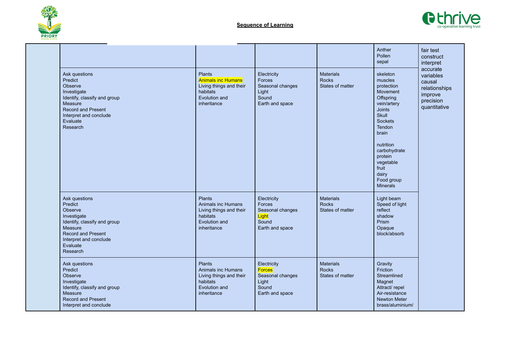



|                                                                                                                                                                              |                                                                                                                   |                                                                                       |                                                      | Anther<br>Pollen<br>sepal                                                                                                                                                                                                                        | fair test<br>construct<br>interpret                                                      |
|------------------------------------------------------------------------------------------------------------------------------------------------------------------------------|-------------------------------------------------------------------------------------------------------------------|---------------------------------------------------------------------------------------|------------------------------------------------------|--------------------------------------------------------------------------------------------------------------------------------------------------------------------------------------------------------------------------------------------------|------------------------------------------------------------------------------------------|
| Ask questions<br>Predict<br>Observe<br>Investigate<br>Identify, classify and group<br>Measure<br><b>Record and Present</b><br>Interpret and conclude<br>Evaluate<br>Research | <b>Plants</b><br><b>Animals inc Humans</b><br>Living things and their<br>habitats<br>Evolution and<br>inheritance | Electricity<br>Forces<br>Seasonal changes<br>Light<br>Sound<br>Earth and space        | <b>Materials</b><br><b>Rocks</b><br>States of matter | skeleton<br>muscles<br>protection<br>Movement<br>Offspring<br>vein/artery<br><b>Joints</b><br>Skull<br><b>Sockets</b><br>Tendon<br>brain<br>nutrition<br>carbohydrate<br>protein<br>vegetable<br>fruit<br>dairy<br>Food group<br><b>Minerals</b> | accurate<br>variables<br>causal<br>relationships<br>improve<br>precision<br>quantitative |
| Ask questions<br>Predict<br>Observe<br>Investigate<br>Identify, classify and group<br>Measure<br><b>Record and Present</b><br>Interpret and conclude<br>Evaluate<br>Research | <b>Plants</b><br>Animals inc Humans<br>Living things and their<br>habitats<br>Evolution and<br>inheritance        | Electricity<br>Forces<br>Seasonal changes<br>Light<br>Sound<br>Earth and space        | <b>Materials</b><br><b>Rocks</b><br>States of matter | Light beam<br>Speed of light<br>reflect<br>shadow<br>Prism<br>Opaque<br>block/absorb                                                                                                                                                             |                                                                                          |
| Ask questions<br>Predict<br>Observe<br>Investigate<br>Identify, classify and group<br>Measure<br><b>Record and Present</b><br>Interpret and conclude                         | <b>Plants</b><br>Animals inc Humans<br>Living things and their<br>habitats<br>Evolution and<br>inheritance        | Electricity<br><b>Forces</b><br>Seasonal changes<br>Light<br>Sound<br>Earth and space | <b>Materials</b><br><b>Rocks</b><br>States of matter | Gravity<br>Friction<br>Streamlined<br>Magnet<br>Attract/repel<br>Air-resistance<br>Newton Meter<br>brass/aluminium/                                                                                                                              |                                                                                          |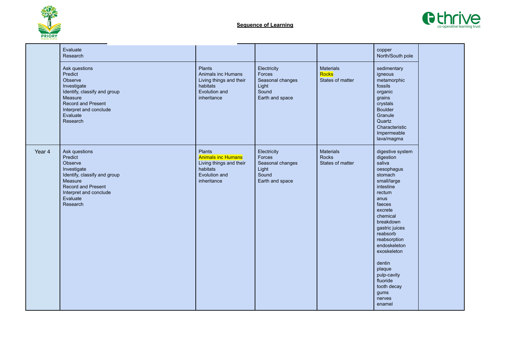



|        | Evaluate<br>Research                                                                                                                                                  |                                                                                                            |                                                                                |                                        | copper<br>North/South pole                                                                                                                                                                                                                                                                                                          |  |
|--------|-----------------------------------------------------------------------------------------------------------------------------------------------------------------------|------------------------------------------------------------------------------------------------------------|--------------------------------------------------------------------------------|----------------------------------------|-------------------------------------------------------------------------------------------------------------------------------------------------------------------------------------------------------------------------------------------------------------------------------------------------------------------------------------|--|
|        | Ask questions<br>Predict<br>Observe<br>Investigate<br>Identify, classify and group<br>Measure<br>Record and Present<br>Interpret and conclude<br>Evaluate<br>Research | <b>Plants</b><br>Animals inc Humans<br>Living things and their<br>habitats<br>Evolution and<br>inheritance | Electricity<br>Forces<br>Seasonal changes<br>Light<br>Sound<br>Earth and space | Materials<br>Rocks<br>States of matter | sedimentary<br>igneous<br>metamorphic<br>fossils<br>organic<br>grains<br>crystals<br><b>Boulder</b><br>Granule<br>Quartz<br>Characteristic<br>Impermeable<br>lava/magma                                                                                                                                                             |  |
| Year 4 | Ask questions<br>Predict<br>Observe<br>Investigate<br>Identify, classify and group<br>Measure<br>Record and Present<br>Interpret and conclude<br>Evaluate<br>Research | Plants<br><b>Animals inc Humans</b><br>Living things and their<br>habitats<br>Evolution and<br>inheritance | Electricity<br>Forces<br>Seasonal changes<br>Light<br>Sound<br>Earth and space | Materials<br>Rocks<br>States of matter | digestive system<br>digestion<br>saliva<br>oesophagus<br>stomach<br>small/large<br>intestine<br>rectum<br>anus<br>faeces<br>excrete<br>chemical<br>breakdown<br>gastric juices<br>reabsorb<br>reabsorption<br>endoskeleton<br>exoskeleton<br>dentin<br>plaque<br>pulp-cavity<br>fluoride<br>tooth decay<br>gums<br>nerves<br>enamel |  |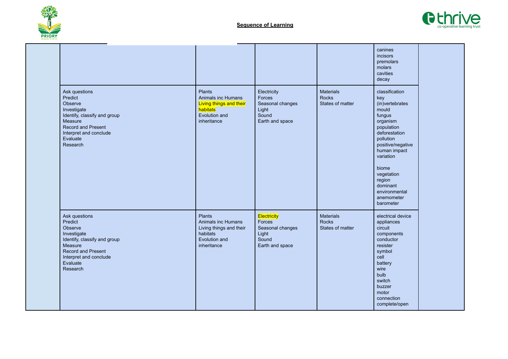



|                                                                                                                                                                              |                                                                                                     |                                                                                |                                                      | canines<br>incisors<br>premolars<br>molars<br>cavities<br>decay                                                                                                                                                                                                |  |
|------------------------------------------------------------------------------------------------------------------------------------------------------------------------------|-----------------------------------------------------------------------------------------------------|--------------------------------------------------------------------------------|------------------------------------------------------|----------------------------------------------------------------------------------------------------------------------------------------------------------------------------------------------------------------------------------------------------------------|--|
| Ask questions<br>Predict<br>Observe<br>Investigate<br>Identify, classify and group<br>Measure<br><b>Record and Present</b><br>Interpret and conclude<br>Evaluate<br>Research | Plants<br>Animals inc Humans<br>Living things and their<br>habitats<br>Evolution and<br>inheritance | Electricity<br>Forces<br>Seasonal changes<br>Light<br>Sound<br>Earth and space | <b>Materials</b><br><b>Rocks</b><br>States of matter | classification<br>key<br>(in)vertebrates<br>mould<br>fungus<br>organism<br>population<br>deforestation<br>pollution<br>positive/negative<br>human impact<br>variation<br>biome<br>vegetation<br>region<br>dominant<br>environmental<br>anemometer<br>barometer |  |
| Ask questions<br>Predict<br>Observe<br>Investigate<br>Identify, classify and group<br>Measure<br><b>Record and Present</b><br>Interpret and conclude<br>Evaluate<br>Research | Plants<br>Animals inc Humans<br>Living things and their<br>habitats<br>Evolution and<br>inheritance | Electricity<br>Forces<br>Seasonal changes<br>Light<br>Sound<br>Earth and space | <b>Materials</b><br><b>Rocks</b><br>States of matter | electrical device<br>appliances<br>circuit<br>components<br>conductor<br>resister<br>symbol<br>cell<br>battery<br>wire<br>bulb<br>switch<br>buzzer<br>motor<br>connection<br>complete/open                                                                     |  |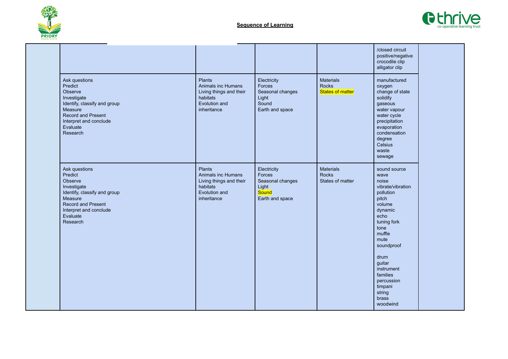



|                                                                                                                                                                              |                                                                                                            |                                                                                |                                                      | /closed circuit<br>positive/negative<br>crocodile clip<br>alligator clip                                                                                                                                                                                         |  |
|------------------------------------------------------------------------------------------------------------------------------------------------------------------------------|------------------------------------------------------------------------------------------------------------|--------------------------------------------------------------------------------|------------------------------------------------------|------------------------------------------------------------------------------------------------------------------------------------------------------------------------------------------------------------------------------------------------------------------|--|
| Ask questions<br>Predict<br>Observe<br>Investigate<br>Identify, classify and group<br>Measure<br><b>Record and Present</b><br>Interpret and conclude<br>Evaluate<br>Research | Plants<br>Animals inc Humans<br>Living things and their<br>habitats<br>Evolution and<br>inheritance        | Electricity<br>Forces<br>Seasonal changes<br>Light<br>Sound<br>Earth and space | <b>Materials</b><br>Rocks<br><b>States of matter</b> | manufactured<br>oxygen<br>change of state<br>solidify<br>gaseous<br>water vapour<br>water cycle<br>precipitation<br>evaporation<br>condensation<br>degree<br>Celsius<br>waste<br>sewage                                                                          |  |
| Ask questions<br>Predict<br>Observe<br>Investigate<br>Identify, classify and group<br>Measure<br>Record and Present<br>Interpret and conclude<br>Evaluate<br>Research        | <b>Plants</b><br>Animals inc Humans<br>Living things and their<br>habitats<br>Evolution and<br>inheritance | Electricity<br>Forces<br>Seasonal changes<br>Light<br>Sound<br>Earth and space | Materials<br><b>Rocks</b><br>States of matter        | sound source<br>wave<br>noise<br>vibrate/vibration<br>pollution<br>pitch<br>volume<br>dynamic<br>echo<br>tuning fork<br>tone<br>muffle<br>mute<br>soundproof<br>drum<br>guitar<br>instrument<br>families<br>percussion<br>timpani<br>string<br>brass<br>woodwind |  |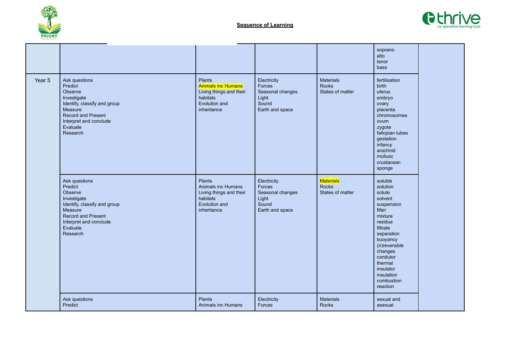



|        |                                                                                                                                                                              |                                                                                                            |                                                                                |                                                      | soprano<br>alto<br>tenor<br>bass                                                                                                                                                                                                       |  |
|--------|------------------------------------------------------------------------------------------------------------------------------------------------------------------------------|------------------------------------------------------------------------------------------------------------|--------------------------------------------------------------------------------|------------------------------------------------------|----------------------------------------------------------------------------------------------------------------------------------------------------------------------------------------------------------------------------------------|--|
| Year 5 | Ask questions<br>Predict<br>Observe<br>Investigate<br>Identify, classify and group<br>Measure<br><b>Record and Present</b><br>Interpret and conclude<br>Evaluate<br>Research | Plants<br><b>Animals inc Humans</b><br>Living things and their<br>habitats<br>Evolution and<br>inheritance | Electricity<br>Forces<br>Seasonal changes<br>Light<br>Sound<br>Earth and space | <b>Materials</b><br><b>Rocks</b><br>States of matter | fertilisation<br>birth<br>uterus<br>embryo<br>ovary<br>placenta<br>chromosomes<br>ovum<br>zygote<br>fallopian tubes<br>gestation<br>infancy<br>arachnid<br>mollusc<br>crustacean<br>sponge                                             |  |
|        | Ask questions<br>Predict<br>Observe<br>Investigate<br>Identify, classify and group<br>Measure<br><b>Record and Present</b><br>Interpret and conclude<br>Evaluate<br>Research | Plants<br>Animals inc Humans<br>Living things and their<br>habitats<br>Evolution and<br>inheritance        | Electricity<br>Forces<br>Seasonal changes<br>Light<br>Sound<br>Earth and space | <b>Materials</b><br><b>Rocks</b><br>States of matter | soluble<br>solution<br>solute<br>solvent<br>suspension<br>filter<br>mixture<br>residue<br>filtrate<br>separation<br>buoyancy<br>(ir) reversible<br>changes<br>condutor<br>thermal<br>insulator<br>insulation<br>combustion<br>reaction |  |
|        | Ask questions<br>Predict                                                                                                                                                     | Plants<br>Animals inc Humans                                                                               | Electricity<br>Forces                                                          | Materials<br><b>Rocks</b>                            | sexual and<br>asexual                                                                                                                                                                                                                  |  |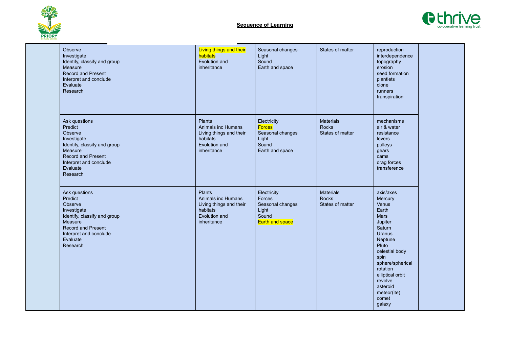



| Observe<br>Investigate<br>Identify, classify and group<br>Measure<br><b>Record and Present</b><br>Interpret and conclude<br>Evaluate<br>Research                             | <b>Living things and their</b><br>habitats<br>Evolution and<br>inheritance                          | Seasonal changes<br>Light<br>Sound<br>Earth and space                                 | States of matter                                     | reproduction<br>interdependence<br>topography<br>erosion<br>seed formation<br>plantlets<br>clone<br>runners<br>transpiration                                                                                                                    |  |
|------------------------------------------------------------------------------------------------------------------------------------------------------------------------------|-----------------------------------------------------------------------------------------------------|---------------------------------------------------------------------------------------|------------------------------------------------------|-------------------------------------------------------------------------------------------------------------------------------------------------------------------------------------------------------------------------------------------------|--|
| Ask questions<br>Predict<br>Observe<br>Investigate<br>Identify, classify and group<br>Measure<br>Record and Present<br>Interpret and conclude<br>Evaluate<br>Research        | Plants<br>Animals inc Humans<br>Living things and their<br>habitats<br>Evolution and<br>inheritance | Electricity<br><b>Forces</b><br>Seasonal changes<br>Light<br>Sound<br>Earth and space | <b>Materials</b><br><b>Rocks</b><br>States of matter | mechanisms<br>air & water<br>resistance<br>levers<br>pulleys<br>gears<br>cams<br>drag forces<br>transference                                                                                                                                    |  |
| Ask questions<br>Predict<br>Observe<br>Investigate<br>Identify, classify and group<br>Measure<br><b>Record and Present</b><br>Interpret and conclude<br>Evaluate<br>Research | Plants<br>Animals inc Humans<br>Living things and their<br>habitats<br>Evolution and<br>inheritance | Electricity<br>Forces<br>Seasonal changes<br>Light<br>Sound<br><b>Earth and space</b> | <b>Materials</b><br><b>Rocks</b><br>States of matter | axis/axes<br>Mercury<br>Venus<br>Earth<br>Mars<br>Jupiter<br>Saturn<br><b>Uranus</b><br>Neptune<br>Pluto<br>celestial body<br>spin<br>sphere/spherical<br>rotation<br>elliptical orbit<br>revolve<br>asteroid<br>meteor(ite)<br>comet<br>galaxy |  |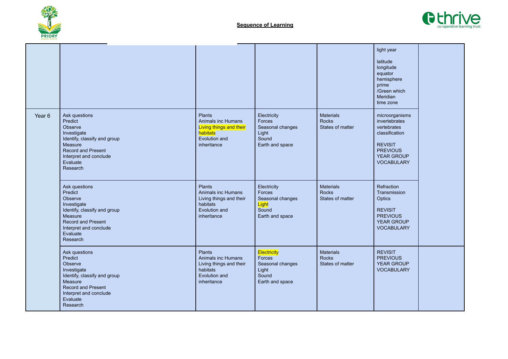



|                   |                                                                                                                                                                              |                                                                                                            |                                                                                |                                                      | light year<br>latitude<br>longitude<br>equator<br>hemisphere<br>prime<br>/Green which<br>Meridian<br>time zone                                  |  |
|-------------------|------------------------------------------------------------------------------------------------------------------------------------------------------------------------------|------------------------------------------------------------------------------------------------------------|--------------------------------------------------------------------------------|------------------------------------------------------|-------------------------------------------------------------------------------------------------------------------------------------------------|--|
| Year <sub>6</sub> | Ask questions<br>Predict<br>Observe<br>Investigate<br>Identify, classify and group<br>Measure<br><b>Record and Present</b><br>Interpret and conclude<br>Evaluate<br>Research | Plants<br>Animals inc Humans<br>Living things and their<br>habitats<br>Evolution and<br>inheritance        | Electricity<br>Forces<br>Seasonal changes<br>Light<br>Sound<br>Earth and space | <b>Materials</b><br><b>Rocks</b><br>States of matter | microorganisms<br>invertebrates<br>vertebrates<br>classification<br><b>REVISIT</b><br><b>PREVIOUS</b><br><b>YEAR GROUP</b><br><b>VOCABULARY</b> |  |
|                   | Ask questions<br>Predict<br>Observe<br>Investigate<br>Identify, classify and group<br>Measure<br><b>Record and Present</b><br>Interpret and conclude<br>Evaluate<br>Research | <b>Plants</b><br>Animals inc Humans<br>Living things and their<br>habitats<br>Evolution and<br>inheritance | Electricity<br>Forces<br>Seasonal changes<br>Light<br>Sound<br>Earth and space | <b>Materials</b><br><b>Rocks</b><br>States of matter | Refraction<br>Transmission<br>Optics<br><b>REVISIT</b><br><b>PREVIOUS</b><br><b>YEAR GROUP</b><br><b>VOCABULARY</b>                             |  |
|                   | Ask questions<br>Predict<br>Observe<br>Investigate<br>Identify, classify and group<br>Measure<br><b>Record and Present</b><br>Interpret and conclude<br>Evaluate<br>Research | Plants<br>Animals inc Humans<br>Living things and their<br>habitats<br>Evolution and<br>inheritance        | Electricity<br>Forces<br>Seasonal changes<br>Light<br>Sound<br>Earth and space | <b>Materials</b><br><b>Rocks</b><br>States of matter | <b>REVISIT</b><br><b>PREVIOUS</b><br><b>YEAR GROUP</b><br><b>VOCABULARY</b>                                                                     |  |